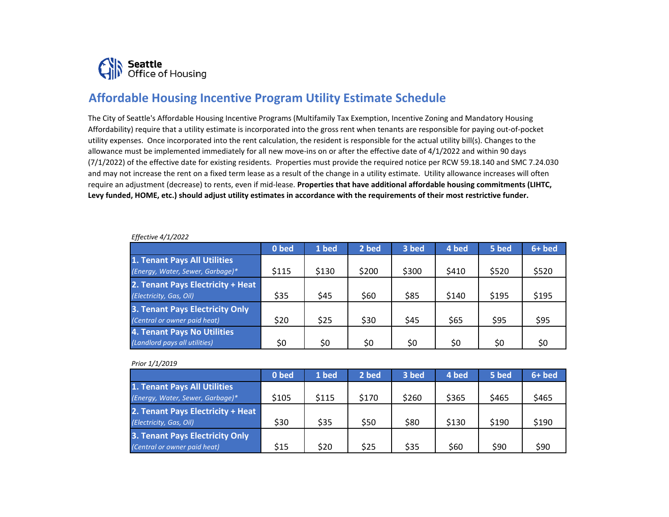

## **Affordable Housing Incentive Program Utility Estimate Schedule**

The City of Seattle's Affordable Housing Incentive Programs (Multifamily Tax Exemption, Incentive Zoning and Mandatory Housing Affordability) require that a utility estimate is incorporated into the gross rent when tenants are responsible for paying out-of-pocket utility expenses. Once incorporated into the rent calculation, the resident is responsible for the actual utility bill(s). Changes to the allowance must be implemented immediately for all new move-ins on or after the effective date of 4/1/2022 and within 90 days (7/1/2022) of the effective date for existing residents. Properties must provide the required notice per RCW 59.18.140 and SMC 7.24.030 and may not increase the rent on a fixed term lease as a result of the change in a utility estimate. Utility allowance increases will often require an adjustment (decrease) to rents, even if mid-lease. **Properties that have additional affordable housing commitments (LIHTC, Levy funded, HOME, etc.) should adjust utility estimates in accordance with the requirements of their most restrictive funder.** 

|                                   | 0 bed | 1 bed | 2 bed | 3 bed | 4 bed | 5 bed | $6+$ bed |
|-----------------------------------|-------|-------|-------|-------|-------|-------|----------|
| 1. Tenant Pays All Utilities      |       |       |       |       |       |       |          |
| (Energy, Water, Sewer, Garbage)*  | \$115 | \$130 | \$200 | \$300 | \$410 | \$520 | \$520    |
| 2. Tenant Pays Electricity + Heat |       |       |       |       |       |       |          |
| (Electricity, Gas, Oil)           | \$35  | \$45  | \$60  | \$85  | \$140 | \$195 | \$195    |
| 3. Tenant Pays Electricity Only   |       |       |       |       |       |       |          |
| (Central or owner paid heat)      | \$20  | \$25  | \$30  | \$45  | \$65  | \$95  | \$95     |
| 4. Tenant Pays No Utilities       |       |       |       |       |       |       |          |
| (Landlord pays all utilities)     | \$0   | \$0   | \$0   | \$0   | \$0   | \$0   | \$0      |

## *Effective 4/1/2022*

## *Prior 1/1/2019*

|                                   | 0 bed | 1 bed | 2 bed | 3 bed | 4 bed | 5 bed | $6+$ bed |
|-----------------------------------|-------|-------|-------|-------|-------|-------|----------|
| 1. Tenant Pays All Utilities      |       |       |       |       |       |       |          |
| (Energy, Water, Sewer, Garbage)*  | \$105 | \$115 | \$170 | \$260 | \$365 | \$465 | \$465    |
| 2. Tenant Pays Electricity + Heat |       |       |       |       |       |       |          |
| (Electricity, Gas, Oil)           | \$30  | \$35  | \$50  | \$80  | \$130 | \$190 | \$190    |
| 3. Tenant Pays Electricity Only   |       |       |       |       |       |       |          |
| (Central or owner paid heat)      | \$15  | \$20  | \$25  | \$35  | \$60  | \$90  | \$90     |